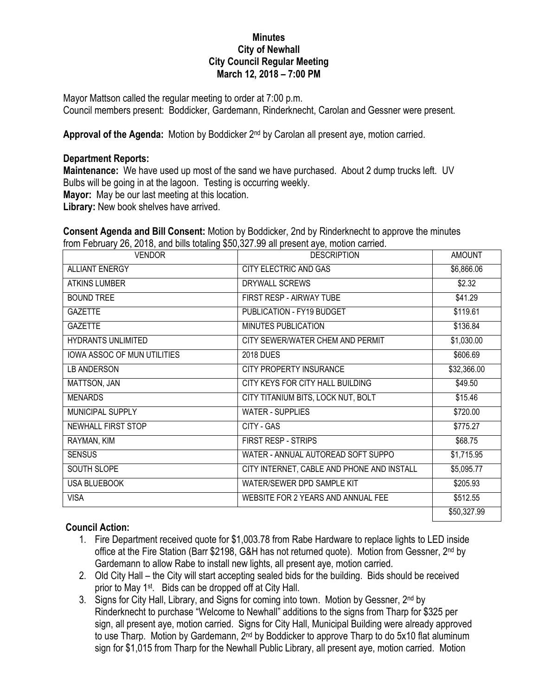## **Minutes City of Newhall City Council Regular Meeting March 12, 2018 – 7:00 PM**

Mayor Mattson called the regular meeting to order at 7:00 p.m. Council members present: Boddicker, Gardemann, Rinderknecht, Carolan and Gessner were present.

Approval of the Agenda: Motion by Boddicker 2<sup>nd</sup> by Carolan all present aye, motion carried.

## **Department Reports:**

**Maintenance:** We have used up most of the sand we have purchased. About 2 dump trucks left. UV Bulbs will be going in at the lagoon. Testing is occurring weekly.

**Mayor:** May be our last meeting at this location.

**Library:** New book shelves have arrived.

**Consent Agenda and Bill Consent:** Motion by Boddicker, 2nd by Rinderknecht to approve the minutes from February 26, 2018, and bills totaling \$50,327.99 all present aye, motion carried.

| <b>VENDOR</b>                      | <b>DESCRIPTION</b>                         | <b>AMOUNT</b>       |
|------------------------------------|--------------------------------------------|---------------------|
| <b>ALLIANT ENERGY</b>              | CITY ELECTRIC AND GAS                      | \$6,866.06          |
| <b>ATKINS LUMBER</b>               | <b>DRYWALL SCREWS</b>                      | \$2.32              |
| <b>BOUND TREE</b>                  | FIRST RESP - AIRWAY TUBE                   | $\overline{$41.29}$ |
| <b>GAZETTE</b>                     | PUBLICATION - FY19 BUDGET                  | \$119.61            |
| <b>GAZETTE</b>                     | MINUTES PUBLICATION                        | \$136.84            |
| <b>HYDRANTS UNLIMITED</b>          | CITY SEWER/WATER CHEM AND PERMIT           | \$1,030.00          |
| <b>IOWA ASSOC OF MUN UTILITIES</b> | <b>2018 DUES</b>                           | \$606.69            |
| <b>LB ANDERSON</b>                 | CITY PROPERTY INSURANCE                    | \$32,366.00         |
| MATTSON, JAN                       | CITY KEYS FOR CITY HALL BUILDING           | \$49.50             |
| <b>MENARDS</b>                     | CITY TITANIUM BITS, LOCK NUT, BOLT         | \$15.46             |
| MUNICIPAL SUPPLY                   | <b>WATER - SUPPLIES</b>                    | \$720.00            |
| NEWHALL FIRST STOP                 | CITY - GAS                                 | \$775.27            |
| RAYMAN, KIM                        | <b>FIRST RESP - STRIPS</b>                 | \$68.75             |
| <b>SENSUS</b>                      | WATER - ANNUAL AUTOREAD SOFT SUPPO         | \$1,715.95          |
| SOUTH SLOPE                        | CITY INTERNET, CABLE AND PHONE AND INSTALL | \$5,095.77          |
| USA BLUEBOOK                       | WATER/SEWER DPD SAMPLE KIT                 | \$205.93            |
| <b>VISA</b>                        | WEBSITE FOR 2 YEARS AND ANNUAL FEE         | \$512.55            |
|                                    |                                            | \$50,327.99         |

## **Council Action:**

- 1. Fire Department received quote for \$1,003.78 from Rabe Hardware to replace lights to LED inside office at the Fire Station (Barr \$2198, G&H has not returned quote). Motion from Gessner, 2<sup>nd</sup> by Gardemann to allow Rabe to install new lights, all present aye, motion carried.
- 2. Old City Hall the City will start accepting sealed bids for the building. Bids should be received prior to May 1<sup>st</sup>. Bids can be dropped off at City Hall.
- 3. Signs for City Hall, Library, and Signs for coming into town. Motion by Gessner, 2<sup>nd</sup> by Rinderknecht to purchase "Welcome to Newhall" additions to the signs from Tharp for \$325 per sign, all present aye, motion carried. Signs for City Hall, Municipal Building were already approved to use Tharp. Motion by Gardemann, 2<sup>nd</sup> by Boddicker to approve Tharp to do 5x10 flat aluminum sign for \$1,015 from Tharp for the Newhall Public Library, all present aye, motion carried. Motion